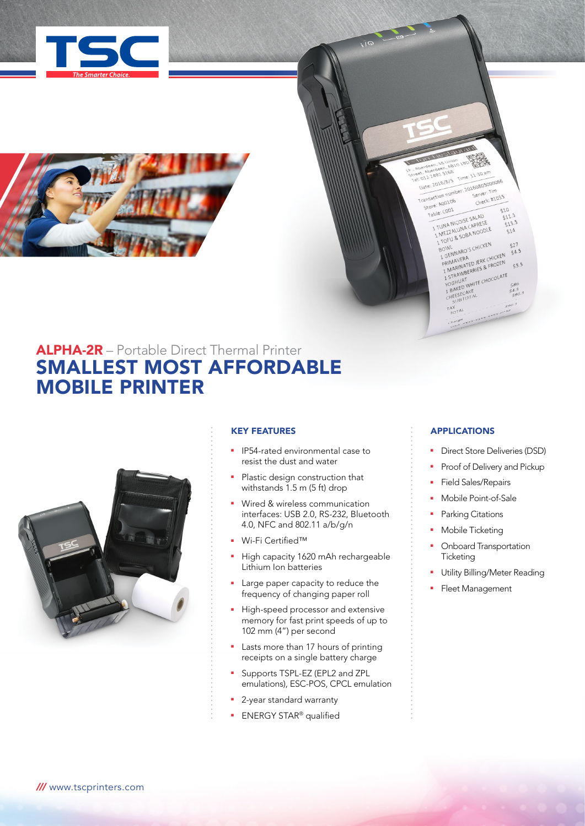



# ALPHA-2R – Portable Direct Thermal Printer SMALLEST MOST AFFORDABLE MOBILE PRINTER



### KEY FEATURES

- **•** IP54-rated environmental case to resist the dust and water
- Plastic design construction that withstands 1.5 m (5 ft) drop
- Wired & wireless communication interfaces: USB 2.0, RS-232, Bluetooth 4.0, NFC and 802.11 a/b/g/n
- Wi-Fi Certified™
- High capacity 1620 mAh rechargeable Lithium Ion batteries
- Large paper capacity to reduce the frequency of changing paper roll
- **High-speed processor and extensive** memory for fast print speeds of up to 102 mm (4") per second
- Lasts more than 17 hours of printing receipts on a single battery charge
- **-** Supports TSPL-EZ (EPL2 and ZPL emulations), ESC-POS, CPCL emulation
- **2**-year standard warranty
- **ENERGY STAR®** qualified

# APPLICATIONS

the deel AB10<br>it Al-2492 5168<br>it 012 2492 5168<br>Date: 2016/8/5<br>Date: 2016/8/5 et C12 2492 Star<br>Uate: 2016/8/5 Time: 11:30 am<br>Uate: 2016/8/5 Time: 20160805000066<br>Transaction number: 20160805000066<br>Check: #1035

able: COO1<br>1 TUNA NICOISE SALAD

 $T_{\tau O}^{AX}$ harge sex

SHE CHANGE SALAD

TOFU & SOBAN<br>BOWL<br>1 GENNARO'S CHICKEN<br>1 GENNAVERA LEPK CHI

TON UNITED JERK CHICKEN

SENTINERA<br>PRIMAVERA<br>1 MARINATED JERK CHICKEN<br>1 STRAWBERRIES & FROZEN<br>1 STRAWBERRIES & FROZOLATE

PRIVIDENTIFICATE

ransaction number<br>Store: A00106 tore: A0010

BOWL<br>BOWL

Server: Tim<br>Check: #1035

510

 $511.5$ 

 $513.5$  $514$ 

 $527$ 

 $54.5$ 

 $5.5$ 

 $$86$ <br> $$4.3$ 

- **•** Direct Store Deliveries (DSD)
- Proof of Delivery and Pickup
- Field Sales/Repairs
- **Nobile Point-of-Sale**
- Parking Citations
- Mobile Ticketing
- Onboard Transportation **Ticketing**
- Utility Billing/Meter Reading
- Fleet Management